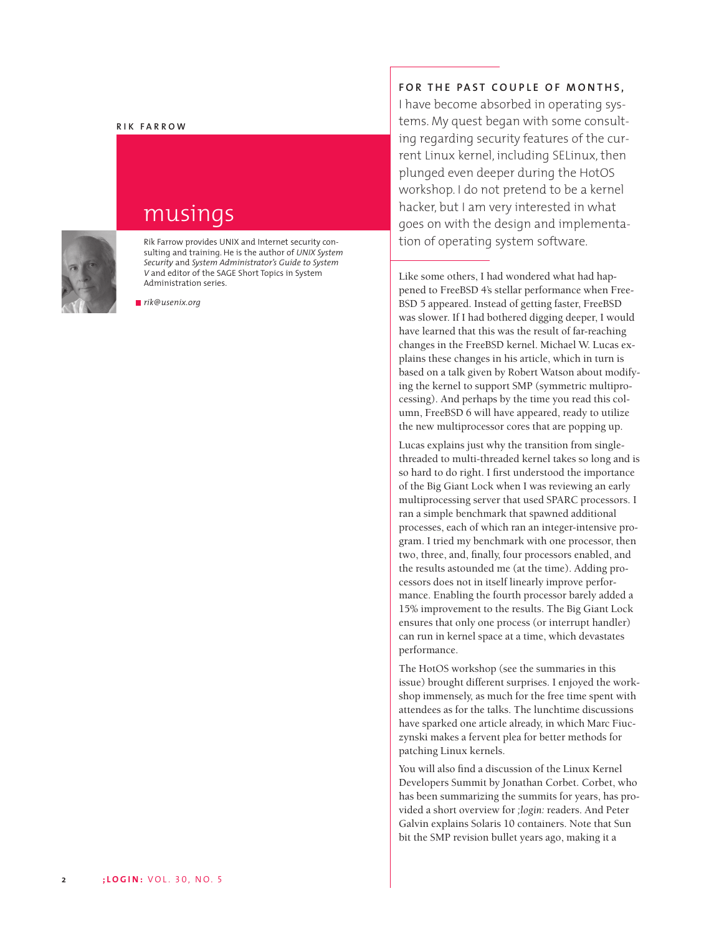#### **RIK FARROW**



## musings

Rik Farrow provides UNIX and Internet security consulting and training. He is the author of *UNIX System Security* and *System Administrator's Guide to System V* and editor of the SAGE Short Topics in System Administration series.

*rik@usenix.org*

### **FOR THE PAST COUPLE OF MONTHS,**

I have become absorbed in operating systems. My quest began with some consulting regarding security features of the current Linux kernel, including SELinux, then plunged even deeper during the HotOS workshop. I do not pretend to be a kernel hacker, but I am very interested in what goes on with the design and implementation of operating system software.

Like some others, I had wondered what had happened to FreeBSD 4's stellar performance when Free-BSD 5 appeared. Instead of getting faster, FreeBSD was slower. If I had bothered digging deeper, I would have learned that this was the result of far-reaching changes in the FreeBSD kernel. Michael W. Lucas explains these changes in his article, which in turn is based on a talk given by Robert Watson about modifying the kernel to support SMP (symmetric multiprocessing). And perhaps by the time you read this column, FreeBSD 6 will have appeared, ready to utilize the new multiprocessor cores that are popping up.

Lucas explains just why the transition from singlethreaded to multi-threaded kernel takes so long and is so hard to do right. I first understood the importance of the Big Giant Lock when I was reviewing an early multiprocessing server that used SPARC processors. I ran a simple benchmark that spawned additional processes, each of which ran an integer-intensive program. I tried my benchmark with one processor, then two, three, and, finally, four processors enabled, and the results astounded me (at the time). Adding processors does not in itself linearly improve performance. Enabling the fourth processor barely added a 15% improvement to the results. The Big Giant Lock ensures that only one process (or interrupt handler) can run in kernel space at a time, which devastates performance.

The HotOS workshop (see the summaries in this issue) brought different surprises. I enjoyed the workshop immensely, as much for the free time spent with attendees as for the talks. The lunchtime discussions have sparked one article already, in which Marc Fiuczynski makes a fervent plea for better methods for patching Linux kernels.

You will also find a discussion of the Linux Kernel Developers Summit by Jonathan Corbet. Corbet, who has been summarizing the summits for years, has provided a short overview for *;login:* readers. And Peter Galvin explains Solaris 10 containers. Note that Sun bit the SMP revision bullet years ago, making it a